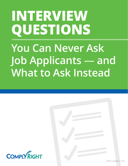# **INTERVIEW QUESTIONS You Can Never Ask Job Applicants** — **and What to Ask Instead**



©2018 ComplyRight, Inc. 91901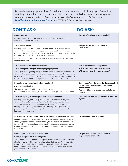During the pre-employment phase, federal, state, and/or local laws prohibit employers from asking certain questions that may be construed as discriminatory. Use this chart to make sure you phrase your questions appropriately. *If you're in doubt as to whether a question is prohibited, visit the [Equal Employment Opportunity Commission](https://www.eeoc.gov/) (EEOC) website for detailed guidance.*

#### **DON'T ASK: DO ASK:**

| How old are you?<br>Inquiring about age could be used as evidence of age discrimination under<br>federal, state, and/or local laws.                                                                                                                                                                                                                                                                                                                                                             | Are you of legal age to serve alcohol?                                                                                                                                 |
|-------------------------------------------------------------------------------------------------------------------------------------------------------------------------------------------------------------------------------------------------------------------------------------------------------------------------------------------------------------------------------------------------------------------------------------------------------------------------------------------------|------------------------------------------------------------------------------------------------------------------------------------------------------------------------|
| Are you a U.S. citizen?<br>Inquiring about a person's citizenship status could lead to national origin<br>discrimination claims under federal, state and local law. Once you hire a<br>candidate, the mandatory Form I-9 will establish his/her eligibility to work in the<br>USA, which is not necessarily a matter of citizenship.<br>After hiring a candidate, you'll need them to fill out an employment eligibility<br>verification I-9 form.                                              | Are you authorized to work in the<br><b>United States?</b>                                                                                                             |
| Are you married? Do you have children?<br>Are you pregnant? Are you planning to get pregnant?<br>Asking questions regarding family or marital status could violate state or local<br>discrimination laws. Further, inquiries that reveal family or marital status could<br>be used as evidence of sex discrimination under Title VII of the Civil Rights Act, as<br>these types of questions are frequently used to discriminate against women.                                                 | Will extensive travel be a problem?<br>Will working late hours be a problem?<br>Will working overtime be a problem?                                                    |
| Do you have any mental or physical disabilities?<br>Are you in good health?<br>The Americans with Disabilities Act prohibits asking about or rejecting a job<br>candidate due to mental or physical disabilities, health problems or addictions.                                                                                                                                                                                                                                                | Can you perform the essential duties required<br>by this job with or without a reasonable<br>accommodation?<br>Are you willing to undergo drug and alcohol<br>testing? |
| Are there any religious holidays or hours that you can't work?<br>Inquiring about religious holidays could be used as evidence of religious<br>discrimination under federal, state, and/or local laws. All inquiries about<br>scheduling should be neutral and job-related. Further, federal law requires<br>employers to reasonably accommodate an employee's religious beliefs or<br>practices (e.g., flexible scheduling), unless doing so would cause an undue<br>hardship on the business. | Can you work all the days and hours required<br>by this job?                                                                                                           |
| What ethnicity are you? What country are you from? What accent is that?<br>Requesting pre-employment information that discloses an applicant's race or<br>ethnicity suggests that race and/or ethnicity will be unlawfully used as a basis<br>for hiring. If you want this information for affirmative action purposes, you can<br>ask job candidates to volunteer it on the job application, but you can't require<br>them to do so.                                                           | Nothing about race or ethnicity.                                                                                                                                       |
| How many sick days did you take last year?<br>Were you hospitalized in the last year?<br>Asking about sick time and recent hospitalization is likely to reveal information<br>about a person's health-related conditions in violation of the Americans with<br>Disabilities Act. Under the law, employers generally cannot ask disability-related<br>questions or require medical examinations until after an applicant has been<br>given a conditional job offer.                              | Are you able to meet the attendance<br>requirements of this job?                                                                                                       |